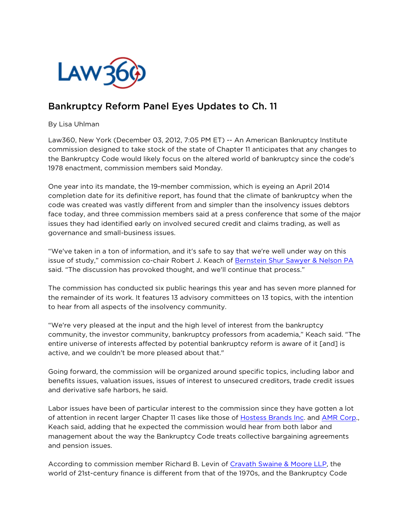

## Bankruptcy Reform Panel Eyes Updates to Ch. 11

By Lisa Uhlman

Law360, New York (December 03, 2012, 7:05 PM ET) -- An American Bankruptcy Institute commission designed to take stock of the state of Chapter 11 anticipates that any changes to the Bankruptcy Code would likely focus on the altered world of bankruptcy since the code's 1978 enactment, commission members said Monday.

One year into its mandate, the 19-member commission, which is eyeing an April 2014 completion date for its definitive report, has found that the climate of bankruptcy when the code was created was vastly different from and simpler than the insolvency issues debtors face today, and three commission members said at a press conference that some of the major issues they had identified early on involved secured credit and claims trading, as well as governance and small-business issues.

"We've taken in a ton of information, and it's safe to say that we're well under way on this issue of study," commission co-chair Robert J. Keach of [Bernstein Shur Sawyer & Nelson PA](http://www.law360.com/firms/bernstein-shur) said. "The discussion has provoked thought, and we'll continue that process."

The commission has conducted six public hearings this year and has seven more planned for the remainder of its work. It features 13 advisory committees on 13 topics, with the intention to hear from all aspects of the insolvency community.

"We're very pleased at the input and the high level of interest from the bankruptcy community, the investor community, bankruptcy professors from academia," Keach said. "The entire universe of interests affected by potential bankruptcy reform is aware of it [and] is active, and we couldn't be more pleased about that."

Going forward, the commission will be organized around specific topics, including labor and benefits issues, valuation issues, issues of interest to unsecured creditors, trade credit issues and derivative safe harbors, he said.

Labor issues have been of particular interest to the commission since they have gotten a lot of attention in recent larger Chapter 11 cases like those of [Hostess Brands Inc.](http://www.law360.com/companies/hostess-brands-inc) and [AMR Corp.](http://www.law360.com/companies/amr-corporation), Keach said, adding that he expected the commission would hear from both labor and management about the way the Bankruptcy Code treats collective bargaining agreements and pension issues.

According to commission member Richard B. Levin of [Cravath Swaine & Moore LLP,](http://www.law360.com/firms/cravath-swaine) the world of 21st-century finance is different from that of the 1970s, and the Bankruptcy Code